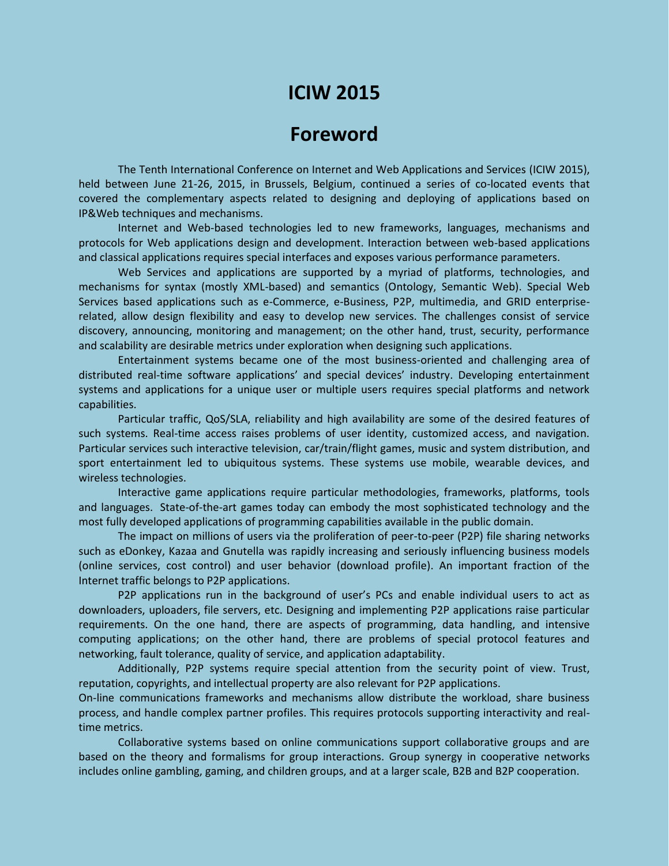# **ICIW 2015**

# **Foreword**

The Tenth International Conference on Internet and Web Applications and Services (ICIW 2015), held between June 21-26, 2015, in Brussels, Belgium, continued a series of co-located events that covered the complementary aspects related to designing and deploying of applications based on IP&Web techniques and mechanisms.

Internet and Web-based technologies led to new frameworks, languages, mechanisms and protocols for Web applications design and development. Interaction between web-based applications and classical applications requires special interfaces and exposes various performance parameters.

Web Services and applications are supported by a myriad of platforms, technologies, and mechanisms for syntax (mostly XML-based) and semantics (Ontology, Semantic Web). Special Web Services based applications such as e-Commerce, e-Business, P2P, multimedia, and GRID enterpriserelated, allow design flexibility and easy to develop new services. The challenges consist of service discovery, announcing, monitoring and management; on the other hand, trust, security, performance and scalability are desirable metrics under exploration when designing such applications.

Entertainment systems became one of the most business-oriented and challenging area of distributed real-time software applications' and special devices' industry. Developing entertainment systems and applications for a unique user or multiple users requires special platforms and network capabilities.

Particular traffic, QoS/SLA, reliability and high availability are some of the desired features of such systems. Real-time access raises problems of user identity, customized access, and navigation. Particular services such interactive television, car/train/flight games, music and system distribution, and sport entertainment led to ubiquitous systems. These systems use mobile, wearable devices, and wireless technologies.

Interactive game applications require particular methodologies, frameworks, platforms, tools and languages. State-of-the-art games today can embody the most sophisticated technology and the most fully developed applications of programming capabilities available in the public domain.

The impact on millions of users via the proliferation of peer-to-peer (P2P) file sharing networks such as eDonkey, Kazaa and Gnutella was rapidly increasing and seriously influencing business models (online services, cost control) and user behavior (download profile). An important fraction of the Internet traffic belongs to P2P applications.

P2P applications run in the background of user's PCs and enable individual users to act as downloaders, uploaders, file servers, etc. Designing and implementing P2P applications raise particular requirements. On the one hand, there are aspects of programming, data handling, and intensive computing applications; on the other hand, there are problems of special protocol features and networking, fault tolerance, quality of service, and application adaptability.

Additionally, P2P systems require special attention from the security point of view. Trust, reputation, copyrights, and intellectual property are also relevant for P2P applications.

On-line communications frameworks and mechanisms allow distribute the workload, share business process, and handle complex partner profiles. This requires protocols supporting interactivity and realtime metrics.

Collaborative systems based on online communications support collaborative groups and are based on the theory and formalisms for group interactions. Group synergy in cooperative networks includes online gambling, gaming, and children groups, and at a larger scale, B2B and B2P cooperation.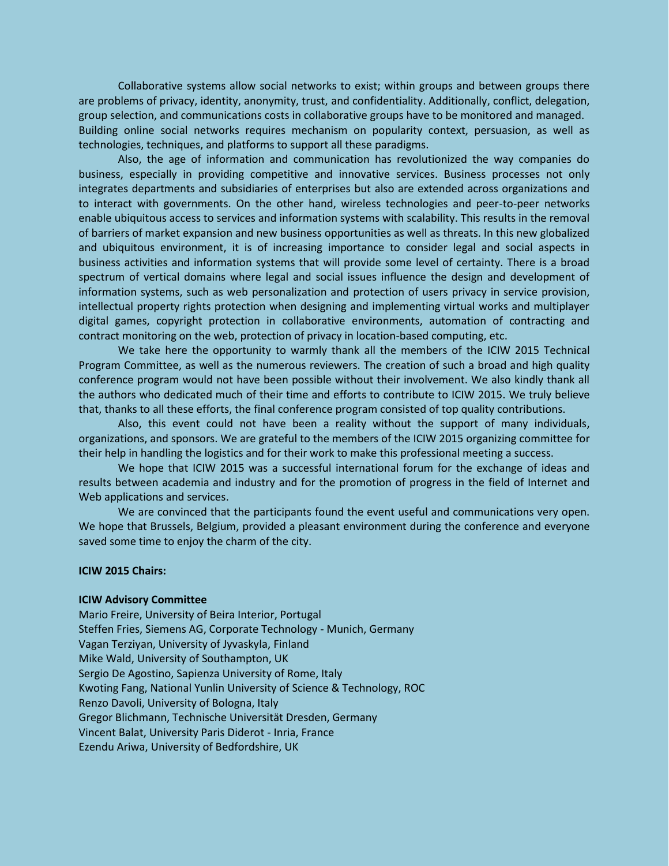Collaborative systems allow social networks to exist; within groups and between groups there are problems of privacy, identity, anonymity, trust, and confidentiality. Additionally, conflict, delegation, group selection, and communications costs in collaborative groups have to be monitored and managed. Building online social networks requires mechanism on popularity context, persuasion, as well as technologies, techniques, and platforms to support all these paradigms.

Also, the age of information and communication has revolutionized the way companies do business, especially in providing competitive and innovative services. Business processes not only integrates departments and subsidiaries of enterprises but also are extended across organizations and to interact with governments. On the other hand, wireless technologies and peer-to-peer networks enable ubiquitous access to services and information systems with scalability. This results in the removal of barriers of market expansion and new business opportunities as well as threats. In this new globalized and ubiquitous environment, it is of increasing importance to consider legal and social aspects in business activities and information systems that will provide some level of certainty. There is a broad spectrum of vertical domains where legal and social issues influence the design and development of information systems, such as web personalization and protection of users privacy in service provision, intellectual property rights protection when designing and implementing virtual works and multiplayer digital games, copyright protection in collaborative environments, automation of contracting and contract monitoring on the web, protection of privacy in location-based computing, etc.

We take here the opportunity to warmly thank all the members of the ICIW 2015 Technical Program Committee, as well as the numerous reviewers. The creation of such a broad and high quality conference program would not have been possible without their involvement. We also kindly thank all the authors who dedicated much of their time and efforts to contribute to ICIW 2015. We truly believe that, thanks to all these efforts, the final conference program consisted of top quality contributions.

Also, this event could not have been a reality without the support of many individuals, organizations, and sponsors. We are grateful to the members of the ICIW 2015 organizing committee for their help in handling the logistics and for their work to make this professional meeting a success.

We hope that ICIW 2015 was a successful international forum for the exchange of ideas and results between academia and industry and for the promotion of progress in the field of Internet and Web applications and services.

We are convinced that the participants found the event useful and communications very open. We hope that Brussels, Belgium, provided a pleasant environment during the conference and everyone saved some time to enjoy the charm of the city.

#### **ICIW 2015 Chairs:**

#### **ICIW Advisory Committee**

Mario Freire, University of Beira Interior, Portugal Steffen Fries, Siemens AG, Corporate Technology - Munich, Germany Vagan Terziyan, University of Jyvaskyla, Finland Mike Wald, University of Southampton, UK Sergio De Agostino, Sapienza University of Rome, Italy Kwoting Fang, National Yunlin University of Science & Technology, ROC Renzo Davoli, University of Bologna, Italy Gregor Blichmann, Technische Universität Dresden, Germany Vincent Balat, University Paris Diderot - Inria, France Ezendu Ariwa, University of Bedfordshire, UK